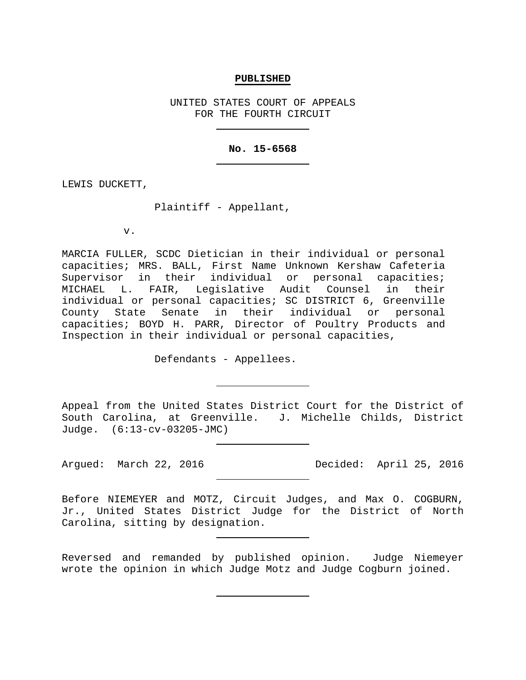## **PUBLISHED**

UNITED STATES COURT OF APPEALS FOR THE FOURTH CIRCUIT

## **No. 15-6568**

LEWIS DUCKETT,

Plaintiff - Appellant,

v.

MARCIA FULLER, SCDC Dietician in their individual or personal capacities; MRS. BALL, First Name Unknown Kershaw Cafeteria Supervisor in their individual or personal capacities;<br>MICHAEL L. FAIR, Legislative Audit Counsel in their L. FAIR, Legislative Audit Counsel in their individual or personal capacities; SC DISTRICT 6, Greenville County State Senate in their individual or personal capacities; BOYD H. PARR, Director of Poultry Products and Inspection in their individual or personal capacities,

Defendants - Appellees.

Appeal from the United States District Court for the District of South Carolina, at Greenville. J. Michelle Childs, District Judge. (6:13-cv-03205-JMC)

Argued: March 22, 2016 Decided: April 25, 2016

Before NIEMEYER and MOTZ, Circuit Judges, and Max O. COGBURN, Jr., United States District Judge for the District of North Carolina, sitting by designation.

Reversed and remanded by published opinion. Judge Niemeyer wrote the opinion in which Judge Motz and Judge Cogburn joined.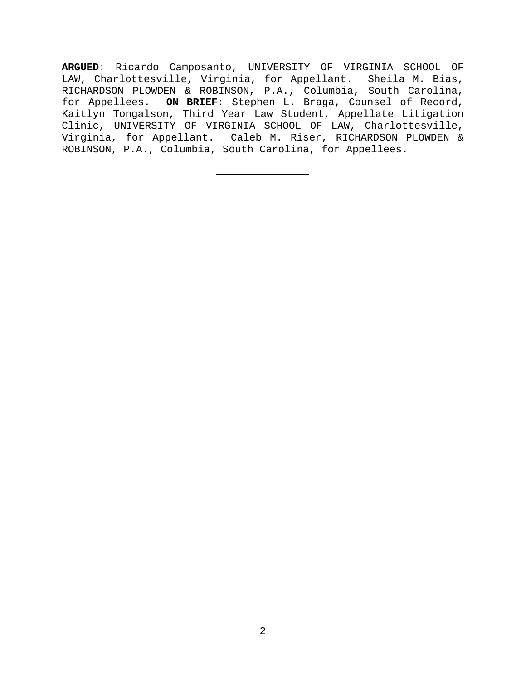**ARGUED**: Ricardo Camposanto, UNIVERSITY OF VIRGINIA SCHOOL OF LAW, Charlottesville, Virginia, for Appellant. Sheila M. Bias, RICHARDSON PLOWDEN & ROBINSON, P.A., Columbia, South Carolina, for Appellees. **ON BRIEF**: Stephen L. Braga, Counsel of Record, Kaitlyn Tongalson, Third Year Law Student, Appellate Litigation Clinic, UNIVERSITY OF VIRGINIA SCHOOL OF LAW, Charlottesville, Virginia, for Appellant. Caleb M. Riser, RICHARDSON PLOWDEN & ROBINSON, P.A., Columbia, South Carolina, for Appellees.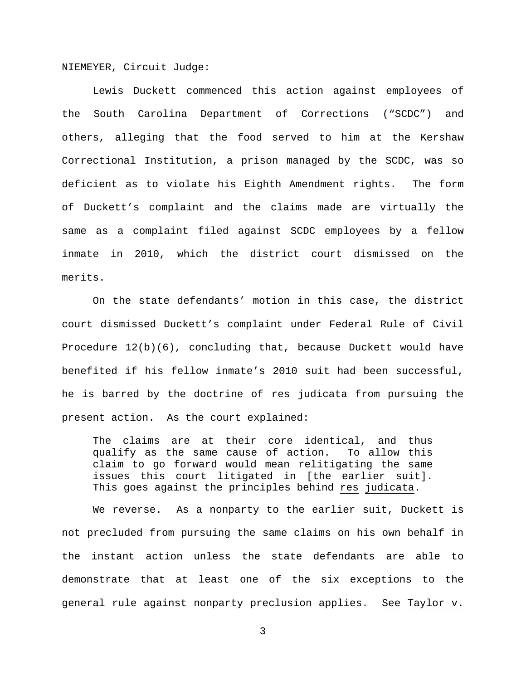NIEMEYER, Circuit Judge:

Lewis Duckett commenced this action against employees of the South Carolina Department of Corrections ("SCDC") and others, alleging that the food served to him at the Kershaw Correctional Institution, a prison managed by the SCDC, was so deficient as to violate his Eighth Amendment rights. The form of Duckett's complaint and the claims made are virtually the same as a complaint filed against SCDC employees by a fellow inmate in 2010, which the district court dismissed on the merits.

On the state defendants' motion in this case, the district court dismissed Duckett's complaint under Federal Rule of Civil Procedure 12(b)(6), concluding that, because Duckett would have benefited if his fellow inmate's 2010 suit had been successful, he is barred by the doctrine of res judicata from pursuing the present action. As the court explained:

The claims are at their core identical, and thus qualify as the same cause of action. To allow this claim to go forward would mean relitigating the same issues this court litigated in [the earlier suit]. This goes against the principles behind res judicata.

We reverse. As a nonparty to the earlier suit, Duckett is not precluded from pursuing the same claims on his own behalf in the instant action unless the state defendants are able to demonstrate that at least one of the six exceptions to the general rule against nonparty preclusion applies. See Taylor v.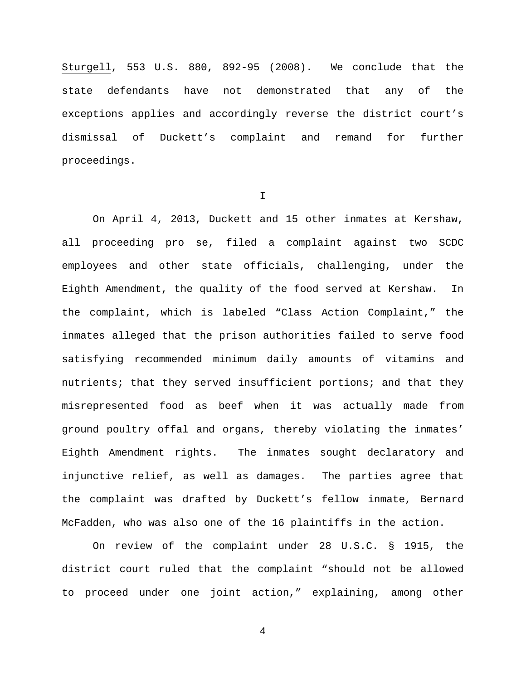Sturgell, 553 U.S. 880, 892-95 (2008). We conclude that the state defendants have not demonstrated that any of the exceptions applies and accordingly reverse the district court's dismissal of Duckett's complaint and remand for further proceedings.

I

On April 4, 2013, Duckett and 15 other inmates at Kershaw, all proceeding pro se, filed a complaint against two SCDC employees and other state officials, challenging, under the Eighth Amendment, the quality of the food served at Kershaw. In the complaint, which is labeled "Class Action Complaint," the inmates alleged that the prison authorities failed to serve food satisfying recommended minimum daily amounts of vitamins and nutrients; that they served insufficient portions; and that they misrepresented food as beef when it was actually made from ground poultry offal and organs, thereby violating the inmates' Eighth Amendment rights. The inmates sought declaratory and injunctive relief, as well as damages. The parties agree that the complaint was drafted by Duckett's fellow inmate, Bernard McFadden, who was also one of the 16 plaintiffs in the action.

On review of the complaint under 28 U.S.C. § 1915, the district court ruled that the complaint "should not be allowed to proceed under one joint action," explaining, among other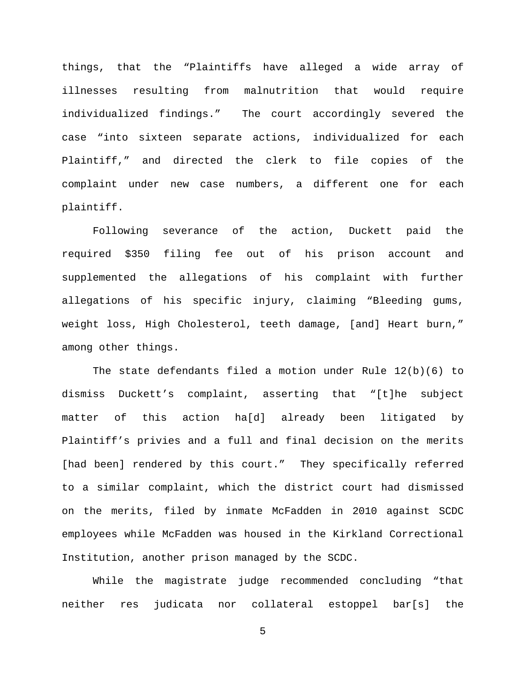things, that the "Plaintiffs have alleged a wide array of illnesses resulting from malnutrition that would require individualized findings." The court accordingly severed the case "into sixteen separate actions, individualized for each Plaintiff," and directed the clerk to file copies of the complaint under new case numbers, a different one for each plaintiff.

Following severance of the action, Duckett paid the required \$350 filing fee out of his prison account and supplemented the allegations of his complaint with further allegations of his specific injury, claiming "Bleeding gums, weight loss, High Cholesterol, teeth damage, [and] Heart burn," among other things.

The state defendants filed a motion under Rule 12(b)(6) to dismiss Duckett's complaint, asserting that "[t]he subject matter of this action ha[d] already been litigated by Plaintiff's privies and a full and final decision on the merits [had been] rendered by this court." They specifically referred to a similar complaint, which the district court had dismissed on the merits, filed by inmate McFadden in 2010 against SCDC employees while McFadden was housed in the Kirkland Correctional Institution, another prison managed by the SCDC.

While the magistrate judge recommended concluding "that neither res judicata nor collateral estoppel bar[s] the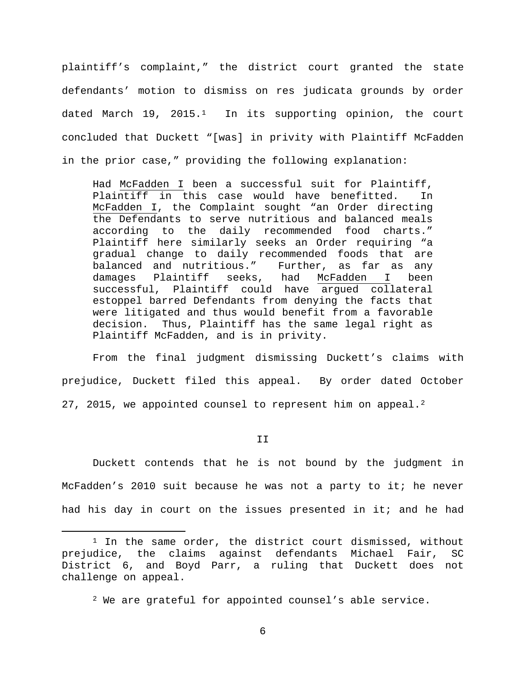plaintiff's complaint," the district court granted the state defendants' motion to dismiss on res judicata grounds by order dated March 19, 2015.<sup>1</sup> In its supporting opinion, the court concluded that Duckett "[was] in privity with Plaintiff McFadden in the prior case," providing the following explanation:

Had McFadden I been a successful suit for Plaintiff, Plaintiff in this case would have benefitted. In McFadden I, the Complaint sought "an Order directing the Defendants to serve nutritious and balanced meals according to the daily recommended food charts." Plaintiff here similarly seeks an Order requiring "a gradual change to daily recommended foods that are<br>balanced and nutritious." Further, as far as any balanced and nutritious." Further, as far as any McFadden I been successful, Plaintiff could have argued collateral estoppel barred Defendants from denying the facts that were litigated and thus would benefit from a favorable decision. Thus, Plaintiff has the same legal right as Plaintiff McFadden, and is in privity.

From the final judgment dismissing Duckett's claims with prejudice, Duckett filed this appeal. By order dated October [2](#page-5-1)7, 2015, we appointed counsel to represent him on appeal.<sup>2</sup>

II

Duckett contends that he is not bound by the judgment in McFadden's 2010 suit because he was not a party to it; he never had his day in court on the issues presented in it; and he had

<span id="page-5-1"></span><span id="page-5-0"></span><sup>&</sup>lt;sup>1</sup> In the same order, the district court dismissed, without prejudice, the claims against defendants Michael Fair, SC District 6, and Boyd Parr, a ruling that Duckett does not challenge on appeal.

 $2$  We are grateful for appointed counsel's able service.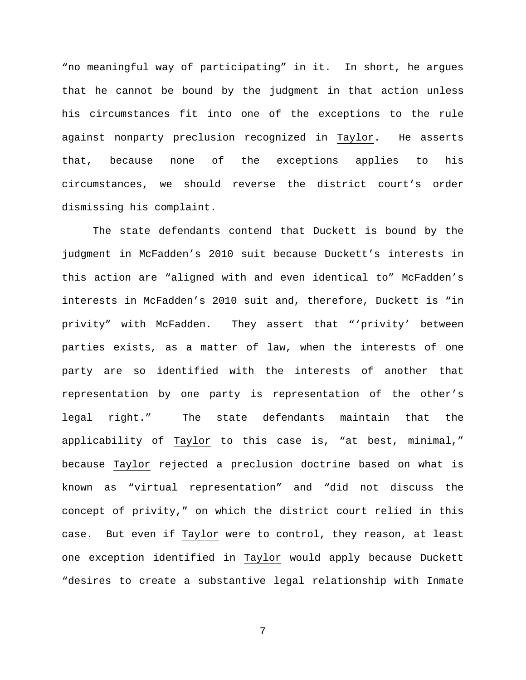"no meaningful way of participating" in it. In short, he argues that he cannot be bound by the judgment in that action unless his circumstances fit into one of the exceptions to the rule against nonparty preclusion recognized in Taylor. He asserts that, because none of the exceptions applies to his circumstances, we should reverse the district court's order dismissing his complaint.

The state defendants contend that Duckett is bound by the judgment in McFadden's 2010 suit because Duckett's interests in this action are "aligned with and even identical to" McFadden's interests in McFadden's 2010 suit and, therefore, Duckett is "in privity" with McFadden. They assert that "'privity' between parties exists, as a matter of law, when the interests of one party are so identified with the interests of another that representation by one party is representation of the other's legal right." The state defendants maintain that the applicability of Taylor to this case is, "at best, minimal," because Taylor rejected a preclusion doctrine based on what is known as "virtual representation" and "did not discuss the concept of privity," on which the district court relied in this case. But even if Taylor were to control, they reason, at least one exception identified in Taylor would apply because Duckett "desires to create a substantive legal relationship with Inmate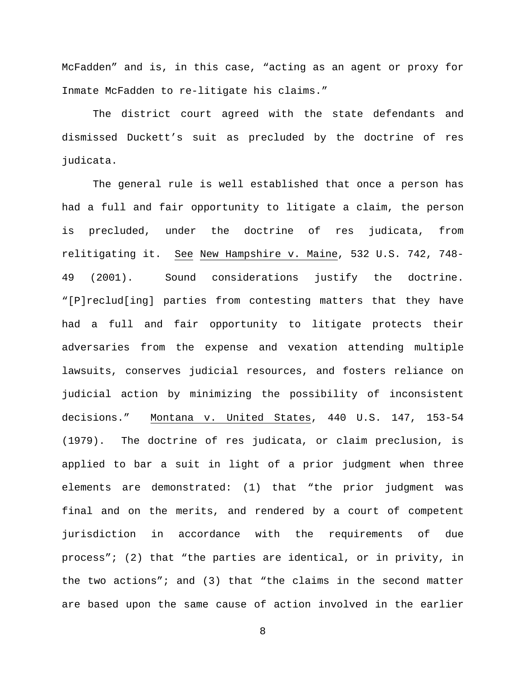McFadden" and is, in this case, "acting as an agent or proxy for Inmate McFadden to re-litigate his claims."

The district court agreed with the state defendants and dismissed Duckett's suit as precluded by the doctrine of res judicata.

The general rule is well established that once a person has had a full and fair opportunity to litigate a claim, the person is precluded, under the doctrine of res judicata, from relitigating it. See New Hampshire v. Maine, 532 U.S. 742, 748- 49 (2001). Sound considerations justify the doctrine. "[P]reclud[ing] parties from contesting matters that they have had a full and fair opportunity to litigate protects their adversaries from the expense and vexation attending multiple lawsuits, conserves judicial resources, and fosters reliance on judicial action by minimizing the possibility of inconsistent decisions." Montana v. United States, 440 U.S. 147, 153-54 (1979). The doctrine of res judicata, or claim preclusion, is applied to bar a suit in light of a prior judgment when three elements are demonstrated: (1) that "the prior judgment was final and on the merits, and rendered by a court of competent jurisdiction in accordance with the requirements of due process"; (2) that "the parties are identical, or in privity, in the two actions"; and (3) that "the claims in the second matter are based upon the same cause of action involved in the earlier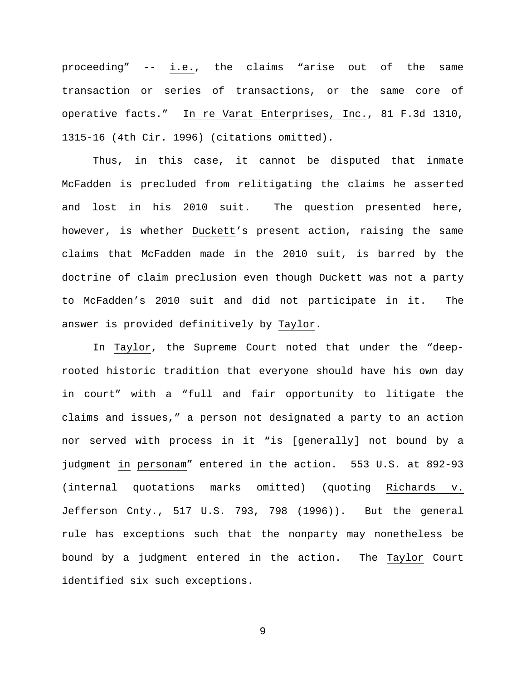proceeding" -- i.e., the claims "arise out of the same transaction or series of transactions, or the same core of operative facts." In re Varat Enterprises, Inc., 81 F.3d 1310, 1315-16 (4th Cir. 1996) (citations omitted).

Thus, in this case, it cannot be disputed that inmate McFadden is precluded from relitigating the claims he asserted and lost in his 2010 suit. The question presented here, however, is whether Duckett's present action, raising the same claims that McFadden made in the 2010 suit, is barred by the doctrine of claim preclusion even though Duckett was not a party to McFadden's 2010 suit and did not participate in it. The answer is provided definitively by Taylor.

In Taylor, the Supreme Court noted that under the "deeprooted historic tradition that everyone should have his own day in court" with a "full and fair opportunity to litigate the claims and issues," a person not designated a party to an action nor served with process in it "is [generally] not bound by a judgment in personam" entered in the action. 553 U.S. at 892-93 (internal quotations marks omitted) (quoting Richards v. Jefferson Cnty., 517 U.S. 793, 798 (1996)). But the general rule has exceptions such that the nonparty may nonetheless be bound by a judgment entered in the action. The Taylor Court identified six such exceptions.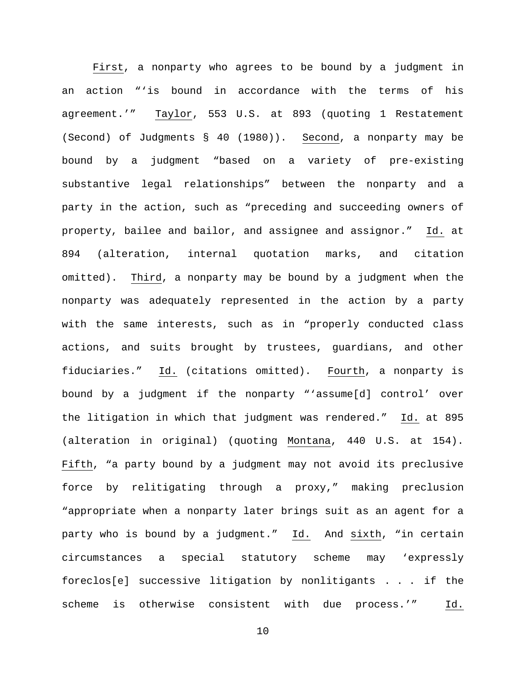First, a nonparty who agrees to be bound by a judgment in an action "'is bound in accordance with the terms of his agreement.'" Taylor, 553 U.S. at 893 (quoting 1 Restatement (Second) of Judgments § 40 (1980)). Second, a nonparty may be bound by a judgment "based on a variety of pre-existing substantive legal relationships" between the nonparty and a party in the action, such as "preceding and succeeding owners of property, bailee and bailor, and assignee and assignor." Id. at 894 (alteration, internal quotation marks, and citation omitted). Third, a nonparty may be bound by a judgment when the nonparty was adequately represented in the action by a party with the same interests, such as in "properly conducted class actions, and suits brought by trustees, guardians, and other fiduciaries." Id. (citations omitted). Fourth, a nonparty is bound by a judgment if the nonparty "'assume[d] control' over the litigation in which that judgment was rendered." Id. at 895 (alteration in original) (quoting Montana, 440 U.S. at 154). Fifth, "a party bound by a judgment may not avoid its preclusive force by relitigating through a proxy," making preclusion "appropriate when a nonparty later brings suit as an agent for a party who is bound by a judgment." Id. And sixth, "in certain circumstances a special statutory scheme may 'expressly foreclos[e] successive litigation by nonlitigants . . . if the scheme is otherwise consistent with due process.'" Id.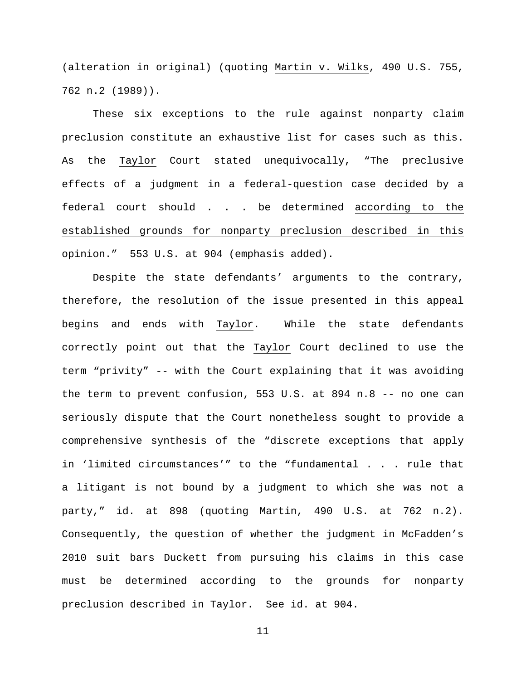(alteration in original) (quoting Martin v. Wilks, 490 U.S. 755, 762 n.2 (1989)).

These six exceptions to the rule against nonparty claim preclusion constitute an exhaustive list for cases such as this. As the Taylor Court stated unequivocally, "The preclusive effects of a judgment in a federal-question case decided by a federal court should . . . be determined according to the established grounds for nonparty preclusion described in this opinion." 553 U.S. at 904 (emphasis added).

Despite the state defendants' arguments to the contrary, therefore, the resolution of the issue presented in this appeal begins and ends with Taylor. While the state defendants correctly point out that the Taylor Court declined to use the term "privity" -- with the Court explaining that it was avoiding the term to prevent confusion, 553 U.S. at 894 n.8 -- no one can seriously dispute that the Court nonetheless sought to provide a comprehensive synthesis of the "discrete exceptions that apply in 'limited circumstances'" to the "fundamental . . . rule that a litigant is not bound by a judgment to which she was not a party," id. at 898 (quoting Martin, 490 U.S. at 762 n.2). Consequently, the question of whether the judgment in McFadden's 2010 suit bars Duckett from pursuing his claims in this case must be determined according to the grounds for nonparty preclusion described in Taylor. See id. at 904.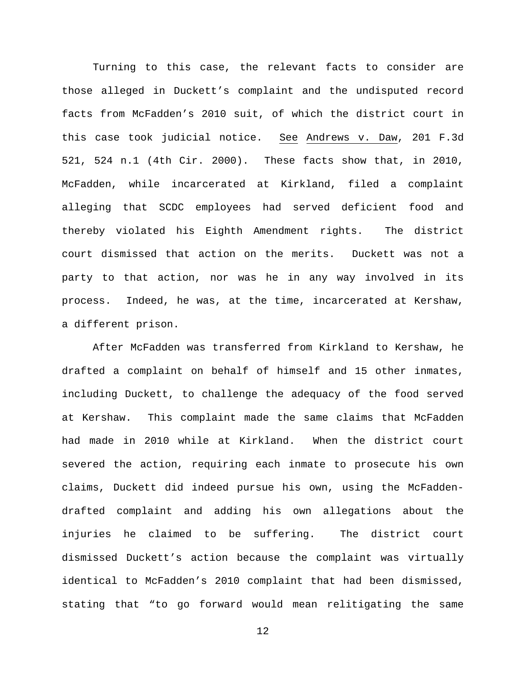Turning to this case, the relevant facts to consider are those alleged in Duckett's complaint and the undisputed record facts from McFadden's 2010 suit, of which the district court in this case took judicial notice. See Andrews v. Daw, 201 F.3d 521, 524 n.1 (4th Cir. 2000). These facts show that, in 2010, McFadden, while incarcerated at Kirkland, filed a complaint alleging that SCDC employees had served deficient food and thereby violated his Eighth Amendment rights. The district court dismissed that action on the merits. Duckett was not a party to that action, nor was he in any way involved in its process. Indeed, he was, at the time, incarcerated at Kershaw, a different prison.

After McFadden was transferred from Kirkland to Kershaw, he drafted a complaint on behalf of himself and 15 other inmates, including Duckett, to challenge the adequacy of the food served at Kershaw. This complaint made the same claims that McFadden had made in 2010 while at Kirkland. When the district court severed the action, requiring each inmate to prosecute his own claims, Duckett did indeed pursue his own, using the McFaddendrafted complaint and adding his own allegations about the injuries he claimed to be suffering. The district court dismissed Duckett's action because the complaint was virtually identical to McFadden's 2010 complaint that had been dismissed, stating that "to go forward would mean relitigating the same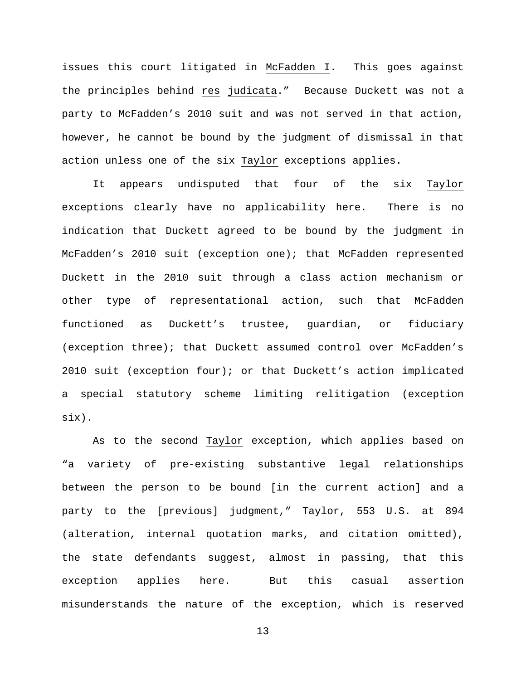issues this court litigated in McFadden I. This goes against the principles behind res judicata." Because Duckett was not a party to McFadden's 2010 suit and was not served in that action, however, he cannot be bound by the judgment of dismissal in that action unless one of the six Taylor exceptions applies.

It appears undisputed that four of the six Taylor exceptions clearly have no applicability here. There is no indication that Duckett agreed to be bound by the judgment in McFadden's 2010 suit (exception one); that McFadden represented Duckett in the 2010 suit through a class action mechanism or other type of representational action, such that McFadden functioned as Duckett's trustee, guardian, or fiduciary (exception three); that Duckett assumed control over McFadden's 2010 suit (exception four); or that Duckett's action implicated a special statutory scheme limiting relitigation (exception six).

As to the second Taylor exception, which applies based on "a variety of pre-existing substantive legal relationships between the person to be bound [in the current action] and a party to the [previous] judgment," Taylor, 553 U.S. at 894 (alteration, internal quotation marks, and citation omitted), the state defendants suggest, almost in passing, that this exception applies here. But this casual assertion misunderstands the nature of the exception, which is reserved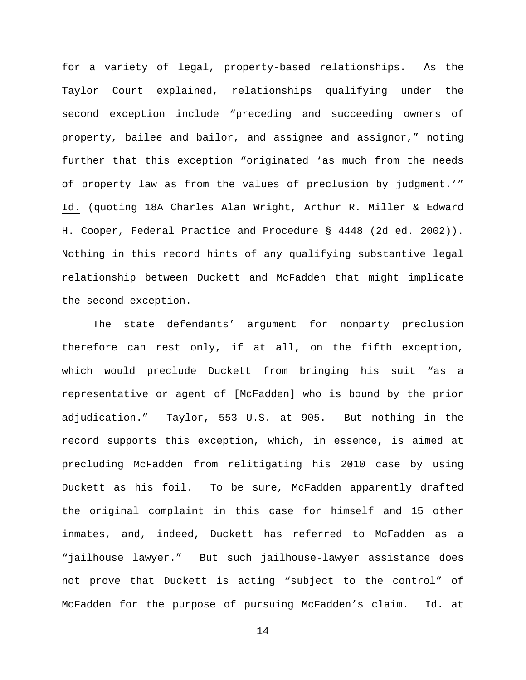for a variety of legal, property-based relationships. As the Taylor Court explained, relationships qualifying under the second exception include "preceding and succeeding owners of property, bailee and bailor, and assignee and assignor," noting further that this exception "originated 'as much from the needs of property law as from the values of preclusion by judgment.'" Id. (quoting 18A Charles Alan Wright, Arthur R. Miller & Edward H. Cooper, Federal Practice and Procedure § 4448 (2d ed. 2002)). Nothing in this record hints of any qualifying substantive legal relationship between Duckett and McFadden that might implicate the second exception.

The state defendants' argument for nonparty preclusion therefore can rest only, if at all, on the fifth exception, which would preclude Duckett from bringing his suit "as a representative or agent of [McFadden] who is bound by the prior adjudication." Taylor, 553 U.S. at 905. But nothing in the record supports this exception, which, in essence, is aimed at precluding McFadden from relitigating his 2010 case by using Duckett as his foil. To be sure, McFadden apparently drafted the original complaint in this case for himself and 15 other inmates, and, indeed, Duckett has referred to McFadden as a "jailhouse lawyer." But such jailhouse-lawyer assistance does not prove that Duckett is acting "subject to the control" of McFadden for the purpose of pursuing McFadden's claim. Id. at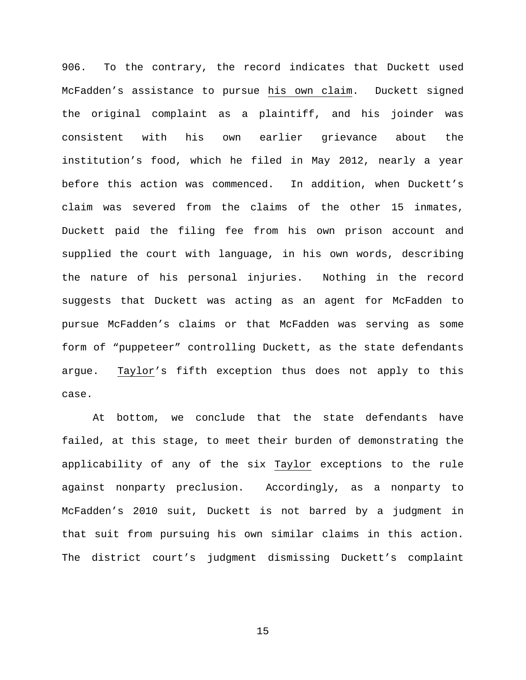906. To the contrary, the record indicates that Duckett used McFadden's assistance to pursue his own claim. Duckett signed the original complaint as a plaintiff, and his joinder was consistent with his own earlier grievance about the institution's food, which he filed in May 2012, nearly a year before this action was commenced. In addition, when Duckett's claim was severed from the claims of the other 15 inmates, Duckett paid the filing fee from his own prison account and supplied the court with language, in his own words, describing the nature of his personal injuries. Nothing in the record suggests that Duckett was acting as an agent for McFadden to pursue McFadden's claims or that McFadden was serving as some form of "puppeteer" controlling Duckett, as the state defendants argue. Taylor's fifth exception thus does not apply to this case.

At bottom, we conclude that the state defendants have failed, at this stage, to meet their burden of demonstrating the applicability of any of the six Taylor exceptions to the rule against nonparty preclusion. Accordingly, as a nonparty to McFadden's 2010 suit, Duckett is not barred by a judgment in that suit from pursuing his own similar claims in this action. The district court's judgment dismissing Duckett's complaint